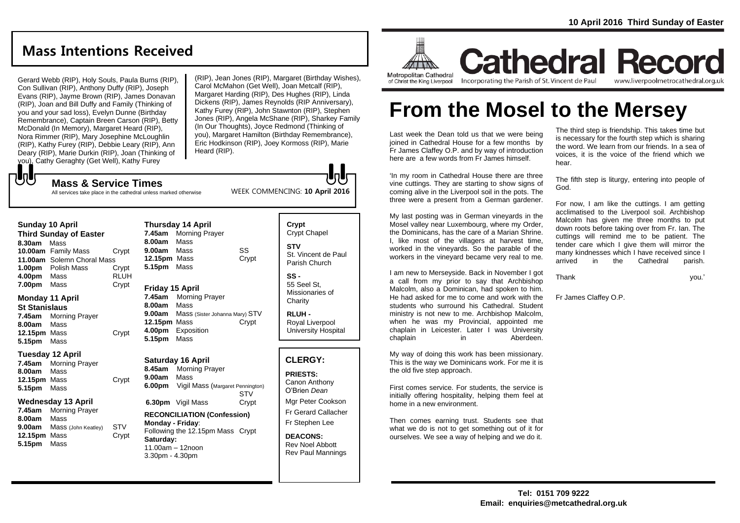# **Mass Intentions Received**

Gerard Webb (RIP), Holy Souls, Paula Burns (RIP), Con Sullivan (RIP), Anthony Duffy (RIP), Joseph Evans (RIP), Jayme Brown (RIP), James Donavan (RIP), Joan and Bill Duffy and Family (Thinking of you and your sad loss), Evelyn Dunne (Birthday Remembrance), Captain Breen Carson (RIP), Betty McDonald (In Memory), Margaret Heard (RIP), Nora Rimmer (RIP), Mary Josephine McLoughlin (RIP), Kathy Furey (RIP), Debbie Leary (RIP), Ann Deary (RIP), Marie Durkin (RIP), Joan (Thinking of you), Cathy Geraghty (Get Well), Kathy Furey

(RIP), Jean Jones (RIP), Margaret (Birthday Wishes), Carol McMahon (Get Well), Joan Metcalf (RIP), Margaret Harding (RIP), Des Hughes (RIP), Linda Dickens (RIP), James Reynolds (RIP Anniversary), Kathy Furey (RIP), John Stawnton (RIP), Stephen Jones (RIP), Angela McShane (RIP), Sharkey Family (In Our Thoughts), Joyce Redmond (Thinking of you), Margaret Hamilton (Birthday Remembrance), Eric Hodkinson (RIP), Joey Kormoss (RIP), Marie Heard (RIP).

WEEK COMMENCING: **10 April 2016**

**Mass & Service Times** All services take place in the cathedral unless marked otherwise

#### **Sunday 10 April**

もし

**Third Sunday of Easter 8.30am** Mass **10.00am** Family Mass Crypt **11.00am** Solemn Choral Mass **1.00pm** Polish Mass Crypt **4.00pm** Mass RLUH **7.00pm** Mass Crypt

### **Monday 11 April**

**St Stanislaus 7.45am** Morning Prayer **8.00am** Mass **12.15pm** Mass Crypt **5.15pm** Mass

#### **Tuesday 12 April**

**7.45am** Morning Prayer **8.00am** Mass **12.15pm** Mass Crypt **5.15pm** Mass

### **Wednesday 13 April**

**7.45am** Morning Prayer **8.00am** Mass **9.00am** Mass (John Keatley) STV **12.15pm** Mass Crypt **5.15pm** Mass

## **Thursday 14 April 7.45am** Morning Prayer **8.00am** Mass **9.00am** Mass SS **12.15pm** Mass Crypt **5.15pm** Mass **Friday 15 April**

**7.45am** Morning Prayer **8.00am** Mass **9.00am** Mass (Sister Johanna Mary) STV **12.15pm** Mass Crypt **4.00pm** Exposition **5.15pm** Mass

### **Saturday 16 April**

**8.45am** Morning Prayer **9.00am** Mass **6.00pm** Vigil Mass (Margaret Pennington) **STV 6.30pm** Vigil Mass Crypt

**RECONCILIATION (Confession)** 

### **Monday - Friday**: Following the 12.15pm Mass Crypt **Saturday:** 11.00am – 12noon 3.30pm - 4.30pm

## **Crypt**  Crypt Chapel **STV** St. Vincent de Paul Parish Church

**SS -** 55 Seel St, Missionaries of **Charity** 

**RLUH -** Royal Liverpool University Hospital

## **CLERGY:**

**PRIESTS:** Canon Anthony O'Brien *Dean* Mgr Peter Cookson Fr Gerard Callacher

Fr Stephen Lee

**DEACONS:** Rev Noel Abbott Rev Paul Mannings



**Cathedral Record** of Christ the King Liverpool

Incorporating the Parish of St. Vincent de Paul

www.liverpoolmetrocathedral.org.uk

# **From the Mosel to the Mersey**

Last week the Dean told us that we were being joined in Cathedral House for a few months by Fr James Claffey O.P. and by way of introduction here are a few words from Fr James himself.

'In my room in Cathedral House there are three vine cuttings. They are starting to show signs of coming alive in the Liverpool soil in the pots. The three were a present from a German gardener.

My last posting was in German vineyards in the Mosel valley near Luxembourg, where my Order, the Dominicans, has the care of a Marian Shrine. I, like most of the villagers at harvest time, worked in the vineyards. So the parable of the workers in the vineyard became very real to me.

I am new to Merseyside. Back in November I got a call from my prior to say that Archbishop Malcolm, also a Dominican, had spoken to him. He had asked for me to come and work with the students who surround his Cathedral. Student ministry is not new to me. Archbishop Malcolm, when he was my Provincial, appointed me chaplain in Leicester. Later I was University chaplain in Aberdeen.

My way of doing this work has been missionary. This is the way we Dominicans work. For me it is the old five step approach.

First comes service. For students, the service is initially offering hospitality, helping them feel at home in a new environment.

Then comes earning trust. Students see that what we do is not to get something out of it for ourselves. We see a way of helping and we do it.

The third step is friendship. This takes time but is necessary for the fourth step which is sharing the word. We learn from our friends. In a sea of voices, it is the voice of the friend which we hear.

The fifth step is liturgy, entering into people of God.

For now, I am like the cuttings. I am getting acclimatised to the Liverpool soil. Archbishop Malcolm has given me three months to put down roots before taking over from Fr. Ian. The cuttings will remind me to be patient. The tender care which I give them will mirror the many kindnesses which I have received since I arrived in the Cathedral parish.

Thank you.'

Fr James Claffey O.P.

**Tel: 0151 709 9222 Email: enquiries@metcathedral.org.uk**